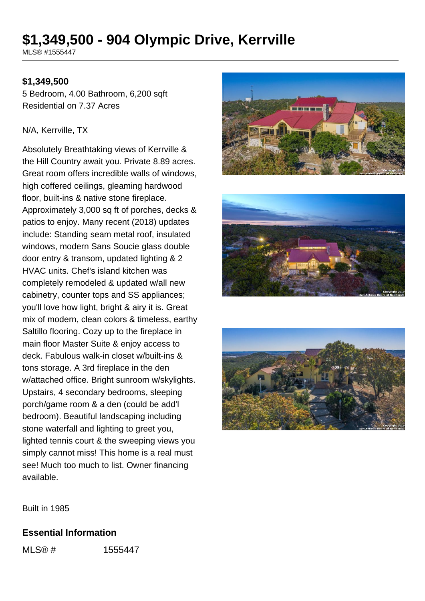# **\$1,349,500 - 904 Olympic Drive, Kerrville**

MLS® #1555447

### **\$1,349,500**

5 Bedroom, 4.00 Bathroom, 6,200 sqft Residential on 7.37 Acres

#### N/A, Kerrville, TX

Absolutely Breathtaking views of Kerrville & the Hill Country await you. Private 8.89 acres. Great room offers incredible walls of windows, high coffered ceilings, gleaming hardwood floor, built-ins & native stone fireplace. Approximately 3,000 sq ft of porches, decks & patios to enjoy. Many recent (2018) updates include: Standing seam metal roof, insulated windows, modern Sans Soucie glass double door entry & transom, updated lighting & 2 HVAC units. Chef's island kitchen was completely remodeled & updated w/all new cabinetry, counter tops and SS appliances; you'll love how light, bright & airy it is. Great mix of modern, clean colors & timeless, earthy Saltillo flooring. Cozy up to the fireplace in main floor Master Suite & enjoy access to deck. Fabulous walk-in closet w/built-ins & tons storage. A 3rd fireplace in the den w/attached office. Bright sunroom w/skylights. Upstairs, 4 secondary bedrooms, sleeping porch/game room & a den (could be add'l bedroom). Beautiful landscaping including stone waterfall and lighting to greet you, lighted tennis court & the sweeping views you simply cannot miss! This home is a real must see! Much too much to list. Owner financing available.







Built in 1985

#### **Essential Information**

MLS® # 1555447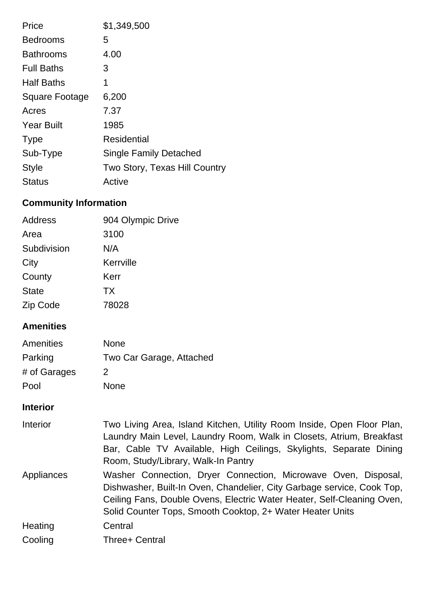| Price                 | \$1,349,500                   |
|-----------------------|-------------------------------|
| <b>Bedrooms</b>       | 5                             |
| <b>Bathrooms</b>      | 4.00                          |
| <b>Full Baths</b>     | 3                             |
| <b>Half Baths</b>     | 1                             |
| <b>Square Footage</b> | 6,200                         |
| Acres                 | 7.37                          |
| <b>Year Built</b>     | 1985                          |
| <b>Type</b>           | Residential                   |
| Sub-Type              | <b>Single Family Detached</b> |
| <b>Style</b>          | Two Story, Texas Hill Country |
| Status                | Active                        |

# **Community Information**

| Address      | 904 Olympic Drive |
|--------------|-------------------|
| Area         | 3100              |
| Subdivision  | N/A               |
| City         | Kerrville         |
| County       | Kerr              |
| <b>State</b> | <b>TX</b>         |
| Zip Code     | 78028             |

# **Amenities**

| Amenities    | <b>None</b>              |
|--------------|--------------------------|
| Parking      | Two Car Garage, Attached |
| # of Garages | 2                        |
| Pool         | <b>None</b>              |

# **Interior**

| Interior   | Two Living Area, Island Kitchen, Utility Room Inside, Open Floor Plan,<br>Laundry Main Level, Laundry Room, Walk in Closets, Atrium, Breakfast<br>Bar, Cable TV Available, High Ceilings, Skylights, Separate Dining<br>Room, Study/Library, Walk-In Pantry                     |
|------------|---------------------------------------------------------------------------------------------------------------------------------------------------------------------------------------------------------------------------------------------------------------------------------|
| Appliances | Washer Connection, Dryer Connection, Microwave Oven, Disposal,<br>Dishwasher, Built-In Oven, Chandelier, City Garbage service, Cook Top,<br>Ceiling Fans, Double Ovens, Electric Water Heater, Self-Cleaning Oven,<br>Solid Counter Tops, Smooth Cooktop, 2+ Water Heater Units |
| Heating    | Central                                                                                                                                                                                                                                                                         |
| Cooling    | Three+ Central                                                                                                                                                                                                                                                                  |